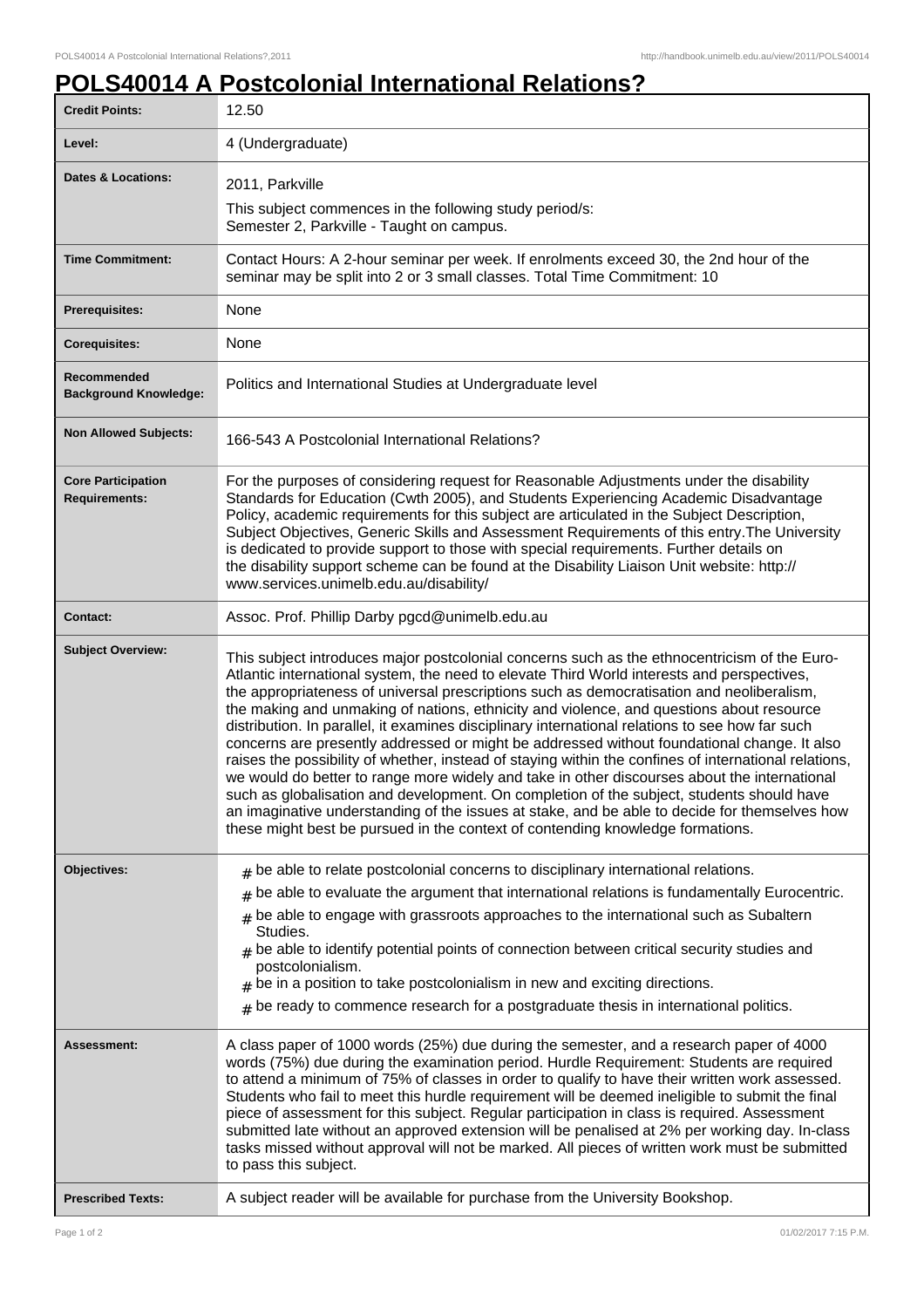## **POLS40014 A Postcolonial International Relations?**

| <b>Credit Points:</b>                             | 12.50                                                                                                                                                                                                                                                                                                                                                                                                                                                                                                                                                                                                                                                                                                                                                                                                                                                                                                                                                                                                                                                                          |
|---------------------------------------------------|--------------------------------------------------------------------------------------------------------------------------------------------------------------------------------------------------------------------------------------------------------------------------------------------------------------------------------------------------------------------------------------------------------------------------------------------------------------------------------------------------------------------------------------------------------------------------------------------------------------------------------------------------------------------------------------------------------------------------------------------------------------------------------------------------------------------------------------------------------------------------------------------------------------------------------------------------------------------------------------------------------------------------------------------------------------------------------|
| Level:                                            | 4 (Undergraduate)                                                                                                                                                                                                                                                                                                                                                                                                                                                                                                                                                                                                                                                                                                                                                                                                                                                                                                                                                                                                                                                              |
| <b>Dates &amp; Locations:</b>                     | 2011, Parkville                                                                                                                                                                                                                                                                                                                                                                                                                                                                                                                                                                                                                                                                                                                                                                                                                                                                                                                                                                                                                                                                |
|                                                   | This subject commences in the following study period/s:<br>Semester 2, Parkville - Taught on campus.                                                                                                                                                                                                                                                                                                                                                                                                                                                                                                                                                                                                                                                                                                                                                                                                                                                                                                                                                                           |
| <b>Time Commitment:</b>                           | Contact Hours: A 2-hour seminar per week. If enrolments exceed 30, the 2nd hour of the<br>seminar may be split into 2 or 3 small classes. Total Time Commitment: 10                                                                                                                                                                                                                                                                                                                                                                                                                                                                                                                                                                                                                                                                                                                                                                                                                                                                                                            |
| <b>Prerequisites:</b>                             | None                                                                                                                                                                                                                                                                                                                                                                                                                                                                                                                                                                                                                                                                                                                                                                                                                                                                                                                                                                                                                                                                           |
| <b>Corequisites:</b>                              | None                                                                                                                                                                                                                                                                                                                                                                                                                                                                                                                                                                                                                                                                                                                                                                                                                                                                                                                                                                                                                                                                           |
| Recommended<br><b>Background Knowledge:</b>       | Politics and International Studies at Undergraduate level                                                                                                                                                                                                                                                                                                                                                                                                                                                                                                                                                                                                                                                                                                                                                                                                                                                                                                                                                                                                                      |
| <b>Non Allowed Subjects:</b>                      | 166-543 A Postcolonial International Relations?                                                                                                                                                                                                                                                                                                                                                                                                                                                                                                                                                                                                                                                                                                                                                                                                                                                                                                                                                                                                                                |
| <b>Core Participation</b><br><b>Requirements:</b> | For the purposes of considering request for Reasonable Adjustments under the disability<br>Standards for Education (Cwth 2005), and Students Experiencing Academic Disadvantage<br>Policy, academic requirements for this subject are articulated in the Subject Description,<br>Subject Objectives, Generic Skills and Assessment Requirements of this entry. The University<br>is dedicated to provide support to those with special requirements. Further details on<br>the disability support scheme can be found at the Disability Liaison Unit website: http://<br>www.services.unimelb.edu.au/disability/                                                                                                                                                                                                                                                                                                                                                                                                                                                               |
| <b>Contact:</b>                                   | Assoc. Prof. Phillip Darby pgcd@unimelb.edu.au                                                                                                                                                                                                                                                                                                                                                                                                                                                                                                                                                                                                                                                                                                                                                                                                                                                                                                                                                                                                                                 |
| <b>Subject Overview:</b>                          | This subject introduces major postcolonial concerns such as the ethnocentricism of the Euro-<br>Atlantic international system, the need to elevate Third World interests and perspectives,<br>the appropriateness of universal prescriptions such as democratisation and neoliberalism,<br>the making and unmaking of nations, ethnicity and violence, and questions about resource<br>distribution. In parallel, it examines disciplinary international relations to see how far such<br>concerns are presently addressed or might be addressed without foundational change. It also<br>raises the possibility of whether, instead of staying within the confines of international relations,<br>we would do better to range more widely and take in other discourses about the international<br>such as globalisation and development. On completion of the subject, students should have<br>an imaginative understanding of the issues at stake, and be able to decide for themselves how<br>these might best be pursued in the context of contending knowledge formations. |
| Objectives:                                       | $#$ be able to relate postcolonial concerns to disciplinary international relations.                                                                                                                                                                                                                                                                                                                                                                                                                                                                                                                                                                                                                                                                                                                                                                                                                                                                                                                                                                                           |
|                                                   | be able to evaluate the argument that international relations is fundamentally Eurocentric.<br>$#$ be able to engage with grassroots approaches to the international such as Subaltern<br>Studies.<br>$#$ be able to identify potential points of connection between critical security studies and<br>postcolonialism.<br>be in a position to take postcolonialism in new and exciting directions.<br>#<br>$_{\text{\#}}$ be ready to commence research for a postgraduate thesis in international politics.                                                                                                                                                                                                                                                                                                                                                                                                                                                                                                                                                                   |
| Assessment:                                       | A class paper of 1000 words (25%) due during the semester, and a research paper of 4000<br>words (75%) due during the examination period. Hurdle Requirement: Students are required<br>to attend a minimum of 75% of classes in order to qualify to have their written work assessed.<br>Students who fail to meet this hurdle requirement will be deemed ineligible to submit the final<br>piece of assessment for this subject. Regular participation in class is required. Assessment<br>submitted late without an approved extension will be penalised at 2% per working day. In-class<br>tasks missed without approval will not be marked. All pieces of written work must be submitted<br>to pass this subject.                                                                                                                                                                                                                                                                                                                                                          |
| <b>Prescribed Texts:</b>                          | A subject reader will be available for purchase from the University Bookshop.                                                                                                                                                                                                                                                                                                                                                                                                                                                                                                                                                                                                                                                                                                                                                                                                                                                                                                                                                                                                  |